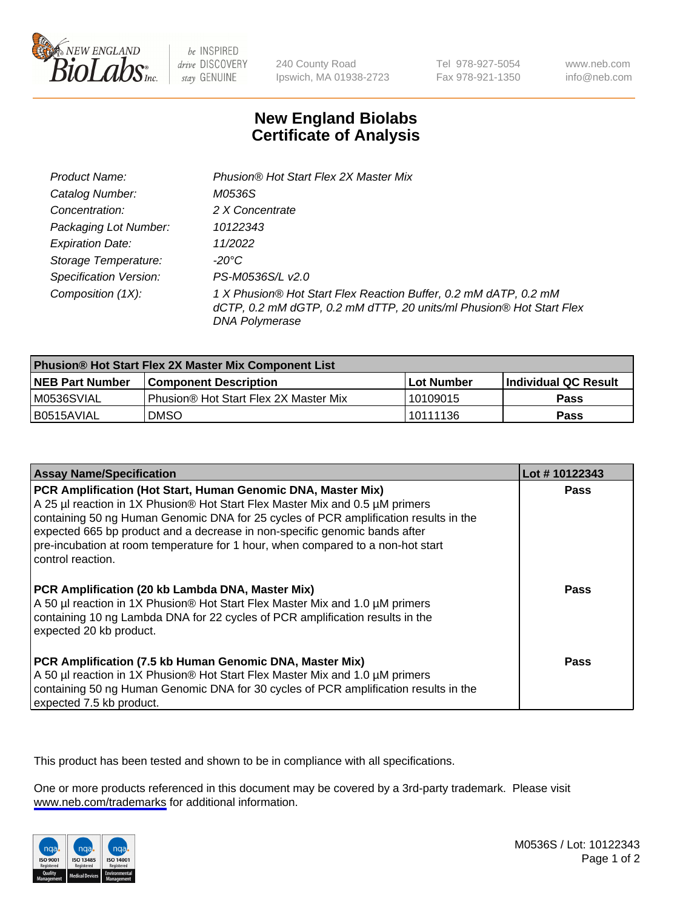

be INSPIRED drive DISCOVERY stay GENUINE

240 County Road Ipswich, MA 01938-2723 Tel 978-927-5054 Fax 978-921-1350

www.neb.com info@neb.com

## **New England Biolabs Certificate of Analysis**

| Product Name:                 | Phusion® Hot Start Flex 2X Master Mix                                                                                                                     |
|-------------------------------|-----------------------------------------------------------------------------------------------------------------------------------------------------------|
| Catalog Number:               | M0536S                                                                                                                                                    |
| Concentration:                | 2 X Concentrate                                                                                                                                           |
| Packaging Lot Number:         | 10122343                                                                                                                                                  |
| <b>Expiration Date:</b>       | 11/2022                                                                                                                                                   |
| Storage Temperature:          | -20°C                                                                                                                                                     |
| <b>Specification Version:</b> | PS-M0536S/L v2.0                                                                                                                                          |
| Composition (1X):             | 1 X Phusion® Hot Start Flex Reaction Buffer, 0.2 mM dATP, 0.2 mM<br>dCTP, 0.2 mM dGTP, 0.2 mM dTTP, 20 units/ml Phusion® Hot Start Flex<br>DNA Polymerase |

| <b>Phusion® Hot Start Flex 2X Master Mix Component List</b> |                                       |            |                             |  |
|-------------------------------------------------------------|---------------------------------------|------------|-----------------------------|--|
| <b>NEB Part Number</b>                                      | <b>Component Description</b>          | Lot Number | <b>Individual QC Result</b> |  |
| IM0536SVIAL                                                 | Phusion® Hot Start Flex 2X Master Mix | l 10109015 | <b>Pass</b>                 |  |
| I B0515AVIAL                                                | DMSO                                  | 10111136   | Pass                        |  |

| <b>Assay Name/Specification</b>                                                                                                                                                                                                                                                                                                                                                                                            | Lot #10122343 |
|----------------------------------------------------------------------------------------------------------------------------------------------------------------------------------------------------------------------------------------------------------------------------------------------------------------------------------------------------------------------------------------------------------------------------|---------------|
| PCR Amplification (Hot Start, Human Genomic DNA, Master Mix)<br>A 25 µl reaction in 1X Phusion® Hot Start Flex Master Mix and 0.5 µM primers<br>containing 50 ng Human Genomic DNA for 25 cycles of PCR amplification results in the<br>expected 665 bp product and a decrease in non-specific genomic bands after<br>pre-incubation at room temperature for 1 hour, when compared to a non-hot start<br>control reaction. | <b>Pass</b>   |
| PCR Amplification (20 kb Lambda DNA, Master Mix)<br>A 50 µl reaction in 1X Phusion® Hot Start Flex Master Mix and 1.0 µM primers<br>containing 10 ng Lambda DNA for 22 cycles of PCR amplification results in the<br>expected 20 kb product.                                                                                                                                                                               | Pass          |
| PCR Amplification (7.5 kb Human Genomic DNA, Master Mix)<br>A 50 µl reaction in 1X Phusion® Hot Start Flex Master Mix and 1.0 µM primers<br>containing 50 ng Human Genomic DNA for 30 cycles of PCR amplification results in the<br>expected 7.5 kb product.                                                                                                                                                               | Pass          |

This product has been tested and shown to be in compliance with all specifications.

One or more products referenced in this document may be covered by a 3rd-party trademark. Please visit <www.neb.com/trademarks>for additional information.